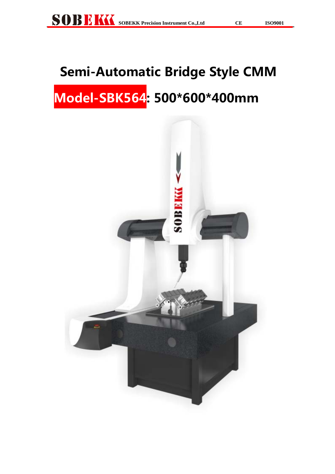# **Semi-Automatic Bridge Style CMM Model-SBK564: 500\*600\*400mm**

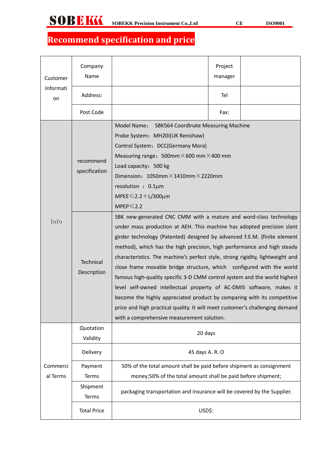# **Recommend specification and price**

| Company<br>Name<br>Customer |                                 |                                                                                                                                                                                                                                                                                                                                                                                                                                                                                                                                                                                                                                                                                                                                                                                                                             | Project<br>manager |  |  |
|-----------------------------|---------------------------------|-----------------------------------------------------------------------------------------------------------------------------------------------------------------------------------------------------------------------------------------------------------------------------------------------------------------------------------------------------------------------------------------------------------------------------------------------------------------------------------------------------------------------------------------------------------------------------------------------------------------------------------------------------------------------------------------------------------------------------------------------------------------------------------------------------------------------------|--------------------|--|--|
| Informati<br>on             | Address:                        |                                                                                                                                                                                                                                                                                                                                                                                                                                                                                                                                                                                                                                                                                                                                                                                                                             | Tel                |  |  |
|                             | Post Code                       |                                                                                                                                                                                                                                                                                                                                                                                                                                                                                                                                                                                                                                                                                                                                                                                                                             | Fax:               |  |  |
| recommend<br>specification  |                                 | Model Name:<br>SBK564 Coordinate Measuring Machine<br>Probe System: MH20i(UK Renishaw)<br>Control System: DCC(Germany Mora)<br>Measuring range: $500$ mm $\times$ 600 mm $\times$ 400 mm<br>Load capacity: 500 kg<br>Dimension: $1050$ mm $\times$ 1410mm $\times$ 2220mm<br>resolution : 0.1um<br>MPEE $\leq 2.2 + L/300 \mu m$<br>$MPEP \leq 2.2$                                                                                                                                                                                                                                                                                                                                                                                                                                                                         |                    |  |  |
| Info                        | <b>Technical</b><br>Description | SBK new-generated CNC CMM with a mature and word-class technology<br>under mass production at AEH. This machine has adopted precision slant<br>girder technology (Patented) designed by advanced F.E.M. (finite element<br>method), which has the high precision, high performance and high steady<br>characteristics. The machine's perfect style, strong rigidity, lightweight and<br>close frame movable bridge structure, which configured with the world<br>famous high-quality specific 3-D CMM control system and the world highest<br>level self-owned intellectual property of AC-DMIS software, makes it<br>become the highly appreciated product by comparing with its competitive<br>price and high practical quality. It will meet customer's challenging demand<br>with a comprehensive measurement solution. |                    |  |  |
|                             | Quotation<br>Validity           | 20 days                                                                                                                                                                                                                                                                                                                                                                                                                                                                                                                                                                                                                                                                                                                                                                                                                     |                    |  |  |
|                             | Delivery                        | 45 days A. R. O                                                                                                                                                                                                                                                                                                                                                                                                                                                                                                                                                                                                                                                                                                                                                                                                             |                    |  |  |
| Commerci<br>al Terms        | Payment<br>Terms                | 50% of the total amount shall be paid before shipment as consignment<br>money;50% of the total amount shall be paid before shipment;                                                                                                                                                                                                                                                                                                                                                                                                                                                                                                                                                                                                                                                                                        |                    |  |  |
|                             | Shipment<br>Terms               | packaging transportation and insurance will be covered by the Supplier.                                                                                                                                                                                                                                                                                                                                                                                                                                                                                                                                                                                                                                                                                                                                                     |                    |  |  |
|                             | <b>Total Price</b>              | USD\$:                                                                                                                                                                                                                                                                                                                                                                                                                                                                                                                                                                                                                                                                                                                                                                                                                      |                    |  |  |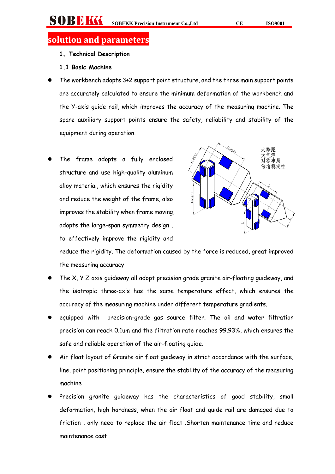# **solution and parameters**

- **1**、**Technical Description**
- **1.1 Basic Machine**
- The workbench adopts 3+2 support point structure, and the three main support points are accurately calculated to ensure the minimum deformation of the workbench and the Y-axis guide rail, which improves the accuracy of the measuring machine. The spare auxiliary support points ensure the safety, reliability and stability of the equipment during operation.
- The frame adopts a fully enclosed structure and use high-quality aluminum alloy material, which ensures the rigidity and reduce the weight of the frame, also improves the stability when frame moving, adopts the large-span symmetry design , to effectively improve the rigidity and



reduce the rigidity. The deformation caused by the force is reduced, great improved the measuring accuracy

- The X, Y Z axis guideway all adopt precision grade granite air-floating guideway, and the isotropic three-axis has the same temperature effect, which ensures the accuracy of the measuring machine under different temperature gradients.
- equipped with precision-grade gas source filter. The oil and water filtration precision can reach 0.1um and the filtration rate reaches 99.93%, which ensures the safe and reliable operation of the air-floating guide.
- Air float layout of Granite air float guideway in strict accordance with the surface, line, point positioning principle, ensure the stability of the accuracy of the measuring machine
- Precision granite guideway has the characteristics of good stability, small deformation, high hardness, when the air float and guide rail are damaged due to friction , only need to replace the air float .Shorten maintenance time and reduce maintenance cost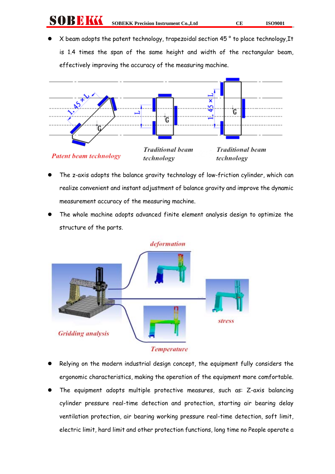# **SOBEKK** SOBEKK Precision Instrument Co.,Ltd CE ISO9001

 X beam adopts the patent technology, trapezoidal section 45 ° to place technology,It is 1.4 times the span of the same height and width of the rectangular beam, effectively improving the accuracy of the measuring machine.



- The z-axis adopts the balance gravity technology of low-friction cylinder, which can realize convenient and instant adjustment of balance gravity and improve the dynamic measurement accuracy of the measuring machine.
- The whole machine adopts advanced finite element analysis design to optimize the structure of the parts.



- Relying on the modern industrial design concept, the equipment fully considers the ergonomic characteristics, making the operation of the equipment more comfortable.
- The equipment adopts multiple protective measures, such as: Z-axis balancing cylinder pressure real-time detection and protection, starting air bearing delay ventilation protection, air bearing working pressure real-time detection, soft limit, electric limit, hard limit and other protection functions, long time no People operate a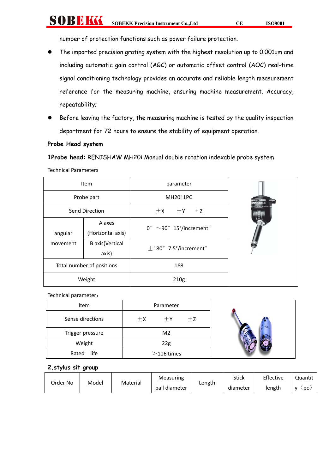SOBEKK **SOBEKK Precision Instrument Co., Ltd CE ISO9001** 

number of protection functions such as power failure protection.

- The imported precision grating system with the highest resolution up to 0.001um and including automatic gain control (AGC) or automatic offset control (AOC) real-time signal conditioning technology provides an accurate and reliable length measurement reference for the measuring machine, ensuring machine measurement. Accuracy, repeatability;
- Before leaving the factory, the measuring machine is tested by the quality inspection department for 72 hours to ensure the stability of equipment operation.

### **Probe Head system**

**1Probe head:** RENISHAW MH20i Manual double rotation indexable probe system

Technical Parameters

| Item                      |                                 | parameter                       |  |
|---------------------------|---------------------------------|---------------------------------|--|
| Probe part                |                                 | MH <sub>20i</sub> 1PC           |  |
| Send Direction            |                                 | $\pm$ Y<br>$\pm x$<br>$+Z$      |  |
| angular                   | A axes<br>(Horizontal axis)     | $0^{\circ}$ ~90° 15°/increment° |  |
| movement                  | <b>B</b> axis(Vertical<br>axis) | $\pm$ 180° 7.5°/increment°      |  |
| Total number of positions |                                 | 168                             |  |
| Weight                    |                                 | 210g                            |  |

Technical parameter:

| Item             |         | Parameter      |      |             |
|------------------|---------|----------------|------|-------------|
| Sense directions | $\pm x$ | $+Y$           | $+z$ | <b>TP20</b> |
| Trigger pressure |         | M <sub>2</sub> |      |             |
| Weight           |         | 22g            |      |             |
| life<br>Rated    |         | $>$ 106 times  |      |             |

### **2.stylus sit group**

|          |       |          | Measuring     |        | <b>Stick</b> | Effective | Quantit        |
|----------|-------|----------|---------------|--------|--------------|-----------|----------------|
| Order No | Model | Material | ball diameter | Length | diameter     | length    | $\overline{p}$ |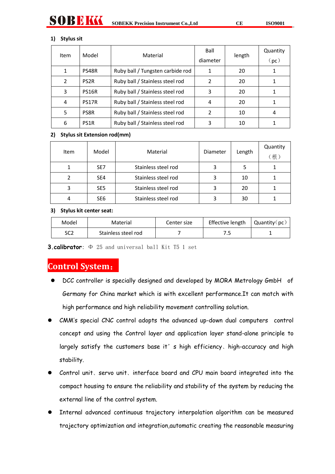#### **1) Stylus sit**

никк

| Item           | Model             | Material                         | Ball     | length | Quantity          |
|----------------|-------------------|----------------------------------|----------|--------|-------------------|
|                |                   |                                  | diameter |        | (p <sub>c</sub> ) |
| 1              | PS48R             | Ruby ball / Tungsten carbide rod |          | 20     |                   |
| $\overline{2}$ | <b>PS2R</b>       | Ruby ball / Stainless steel rod  | 2        | 20     |                   |
| 3              | <b>PS16R</b>      | Ruby ball / Stainless steel rod  | 3        | 20     |                   |
| 4              | PS17R             | Ruby ball / Stainless steel rod  | 4        | 20     |                   |
| 5              | PS8R              | Ruby ball / Stainless steel rod  | 2        | 10     | 4                 |
| 6              | PS <sub>1</sub> R | Ruby ball / Stainless steel rod  | 3        | 10     |                   |

#### **2) Stylus sit Extension rod(mm)**

| Item | Model           | Material            | Diameter | Length | Quantity<br>(根) |
|------|-----------------|---------------------|----------|--------|-----------------|
|      | SE <sub>7</sub> | Stainless steel rod |          |        |                 |
|      | SE4             | Stainless steel rod |          | 10     |                 |
| 3    | SE <sub>5</sub> | Stainless steel rod |          | 20     |                 |
|      | SE <sub>6</sub> | Stainless steel rod |          | 30     |                 |

#### **3) Stylus kit center seat:**

| Model | Material            | Center size | Effective length | Quantity(pc) |
|-------|---------------------|-------------|------------------|--------------|
| SC2   | Stainless steel rod |             | . .              |              |

**3.calibrator**: Φ 25 and universal ball Kit T5 1 set

# **Control System**:

- DCC controller is specially designed and developed by MORA Metrology GmbH of Germany for China market which is with excellent performance.It can match with high performance and high reliability movement controlling solution.
- CMM's special CNC control adopts the advanced up-down dual computers control concept and using the Control layer and application layer stand-alone principle to largely satisfy the customers base it' s high efficiency, high-accuracy and high stability.
- Control unit、servo unit、interface board and CPU main board integrated into the compact housing to ensure the reliability and stability of the system by reducing the external line of the control system.
- Internal advanced continuous trajectory interpolation algorithm can be measured trajectory optimization and integration,automatic creating the reasonable measuring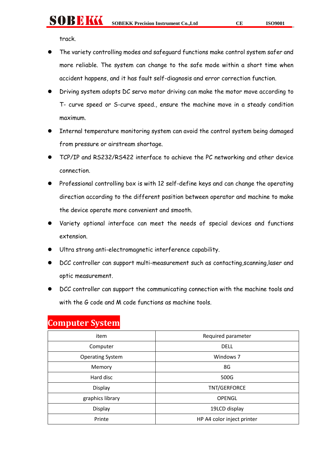track.

SOBBIKK

- The variety controlling modes and safeguard functions make control system safer and more reliable. The system can change to the safe mode within a short time when accident happens, and it has fault self-diagnosis and error correction function.
- Driving system adopts DC servo motor driving can make the motor move according to T- curve speed or S-curve speed., ensure the machine move in a steady condition maximum.
- Internal temperature monitoring system can avoid the control system being damaged from pressure or airstream shortage.
- TCP/IP and RS232/RS422 interface to achieve the PC networking and other device connection.
- Professional controlling box is with 12 self-define keys and can change the operating direction according to the different position between operator and machine to make the device operate more convenient and smooth.
- Variety optional interface can meet the needs of special devices and functions extension.
- Ultra strong anti-electromagnetic interference capability.
- DCC controller can support multi-measurement such as contacting, scanning, laser and optic measurement.
- DCC controller can support the communicating connection with the machine tools and with the G code and M code functions as machine tools.

| item                    | Required parameter         |
|-------------------------|----------------------------|
| Computer                | <b>DELL</b>                |
| <b>Operating System</b> | Windows <sub>7</sub>       |
| Memory                  | 8G                         |
| Hard disc               | 500G                       |
| Display                 | TNT/GERFORCE               |
| graphics library        | <b>OPENGL</b>              |
| Display                 | 19LCD display              |
| Printe                  | HP A4 color inject printer |

# **Computer System**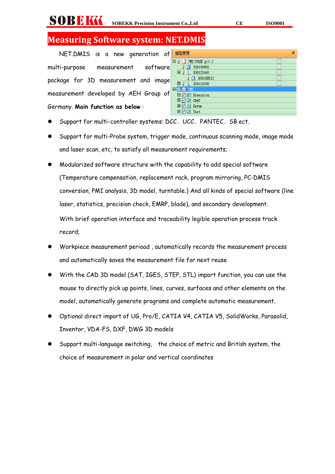# **Measuring Software system: NET.DMIS**

NET.DMIS is a new generation of multi-purpose measurement software package for 3D measurement and image measurement developed by AEH Group of Germany. **Main function as below** :

| 模型管理<br>x           |
|---------------------|
| PMI-PROE.prt.3<br>Θ |
| 309190992           |
| EŶ<br>309122440     |
| 309189512           |
| 309122296<br>⊞      |
| Θ<br>PMI            |
| 田冈书 Dimension       |
| 田口(影 GD&T           |
| <b>田図4</b> Datum    |
| 田冈园 Text            |
|                     |

- Support for multi-controller systems: DCC、UCC、PANTEC、SB ect.
- Support for multi-Probe system, trigger mode, continuous scanning mode, image mode and laser scan, etc, to satisfy all measurement requirements;
- Modularized software structure with the capability to add special software (Temperature compensation, replacement rack, program mirroring, PC-DMIS conversion, PMI analysis, 3D model, turntable.) And all kinds of special software (line laser, statistics, precision check, EMRP, blade), and secondary development. With brief operation interface and traceability legible operation process track record;
- Workpiece measurement perioad , automatically records the measurement process and automatically saves the measurement file for next reuse
- With the CAD 3D model (SAT, IGES, STEP, STL) import function, you can use the mouse to directly pick up points, lines, curves, surfaces and other elements on the model, automatically generate programs and complete automatic measurement.
- Optional direct import of UG, Pro/E, CATIA V4, CATIA V5, SolidWorks, Parasolid, Inventor, VDA-FS, DXF, DWG 3D models
- Support multi-language switching, the choice of metric and British system, the choice of measurement in polar and vertical coordinates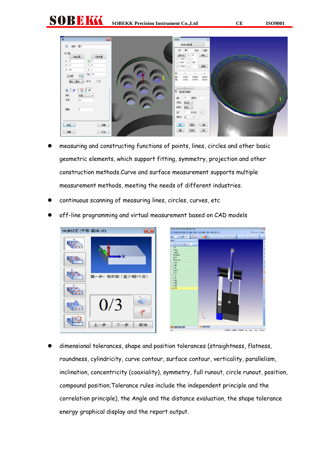SOBEKK **SOBEKK Precision Instrument Co., Ltd CE ISO9001** 

| Ex<br>E                                                         | <b>DIRE</b><br>$\overline{u}$                                         |  |
|-----------------------------------------------------------------|-----------------------------------------------------------------------|--|
| 图-1<br>D 名称                                                     | <b>創建型 製紙類</b>                                                        |  |
| 名义值                                                             | 制<br>$48^{\circ}$<br>跳龍<br>旧整                                         |  |
| 当前位置<br>当前矢量                                                    | 255<br>旗<br>36405<br>$1 - 4.965$<br>$1 - 4$                           |  |
| $\begin{bmatrix} \bullet \\ \bullet \end{bmatrix}$ 0<br>$X = 0$ | $1 - 4e406$<br><b>2 比帐</b>                                            |  |
| $1 \quad 0$<br>$Y = 0$<br>$\kappa$ $\,$ 1<br>$Z = 55$           | <b>Big</b><br>$2 - 26.9625 = 4 - 1$                                   |  |
| Dia, 55                                                         | 開                                                                     |  |
| 1<br>$\angle$ Cart                                              | 辟隙<br>$-38.63539$<br>-3.23.24<br>-1.82978<br>道廊院<br>ALTAWAY<br>4.9803 |  |
| 最小二乘法<br>商内<br>◎外                                               |                                                                       |  |
| $X$ $\overline{0}$<br>國                                         | $\mathbf{H}$<br><b>81 BEER BEER</b>                                   |  |
| 扫描<br>账                                                         |                                                                       |  |
| 0.3<br>压定                                                       | $1.5$<br>95<br>笔项 1<br>補加<br>建设链                                      |  |
|                                                                 | 服焼<br>事項                                                              |  |
| 螺矩<br>$\overline{0}$                                            | 数分类<br>0.01<br>矩<br>ı                                                 |  |
|                                                                 | 联 米<br>$-10$                                                          |  |
| 游径                                                              | 辟<br>知的<br>牌                                                          |  |
| 键                                                               |                                                                       |  |
| 关闭<br>别里                                                        | 種<br>匙<br>前班                                                          |  |

- measuring and constructing functions of points, lines, circles and other basic geometric elements, which support fitting, symmetry, projection and other construction methods.Curve and surface measurement supports multiple measurement methods, meeting the needs of different industries.
- continuous scanning of measuring lines, circles, curves, etc
- off-line programming and virtual measurement based on CAD models



 dimensional tolerances, shape and position tolerances (straightness, flatness, roundness, cylindricity, curve contour, surface contour, verticality, parallelism, inclination, concentricity (coaxiality), symmetry, full runout, circle runout, position, compound position;Tolerance rules include the independent principle and the correlation principle), the Angle and the distance evaluation, the shape tolerance energy graphical display and the report output.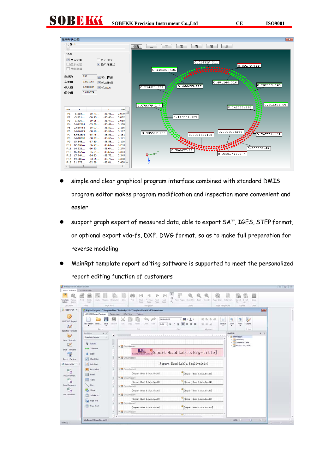





- simple and clear graphical program interface combined with standard DMIS program editor makes program modification and inspection more convenient and easier
- support graph export of measured data, able to export SAT, IGES, STEP format, or optional export vda-fs, DXF, DWG format, so as to make full preparation for reverse modeling
- MainRpt template report editing software is supported to meet the personalized report editing function of customers

| Measurement Report System                                                                                                                                                                         |                                                                                                                                                                                                                                                                            |                                                                                                                                                                                                                                                                                                                                                                                                                                                                                                                                                                                                                                                                                                         | $= 52$                |
|---------------------------------------------------------------------------------------------------------------------------------------------------------------------------------------------------|----------------------------------------------------------------------------------------------------------------------------------------------------------------------------------------------------------------------------------------------------------------------------|---------------------------------------------------------------------------------------------------------------------------------------------------------------------------------------------------------------------------------------------------------------------------------------------------------------------------------------------------------------------------------------------------------------------------------------------------------------------------------------------------------------------------------------------------------------------------------------------------------------------------------------------------------------------------------------------------------|-----------------------|
| Report Preview                                                                                                                                                                                    | Current Report                                                                                                                                                                                                                                                             |                                                                                                                                                                                                                                                                                                                                                                                                                                                                                                                                                                                                                                                                                                         |                       |
| Template<br>Display<br>Query<br>Select                                                                                                                                                            | Print<br>Quot.<br>Scale<br>Margins Onerstation Size<br><b>Print</b>                                                                                                                                                                                                        | 1<br>£3<br>lin-1<br>Many Pages Zoom Out. Zoom Zoom In<br>Export EMal<br>Page Color Viatement<br>Close<br>Find<br>First.<br>Previous:<br>Next<br>Last<br>Page<br>Page.<br>$-45$<br>Page.<br>Page                                                                                                                                                                                                                                                                                                                                                                                                                                                                                                         |                       |
| Document                                                                                                                                                                                          | Page Setup<br>Peint                                                                                                                                                                                                                                                        | Zoom<br>Page Background<br>Dose:<br>Navigation<br>Export.                                                                                                                                                                                                                                                                                                                                                                                                                                                                                                                                                                                                                                               |                       |
| Report Man                                                                                                                                                                                        |                                                                                                                                                                                                                                                                            | <b>HOSP</b><br>Report Designer - C:\Program Files\DE\MainRpt 3.0.0\Template\Normal\NETNormal.repx                                                                                                                                                                                                                                                                                                                                                                                                                                                                                                                                                                                                       |                       |
| B<br><b>WYSIWYG Report</b><br>$\rightarrow$                                                                                                                                                       | AD1 CMM Report Designer Design view HTML View<br>Save<br>New Report Open<br>Save All<br>Report                                                                                                                                                                             | Toobox<br>Q<br>田<br>$\cdot$ $\blacksquare$ $\cdot$ $\Lambda$ $\cdot$<br>京昌昌昌<br>a,<br>屋<br>Similium-Extiti<br>Out:<br>Copy<br>Pastei<br>View<br>Undo. Redo.<br>Layout.<br>Zoom<br>Scripts<br>$9.75 - B$ <i>I</i><br>Edit<br>Algriment<br>Scripts:<br>Fort                                                                                                                                                                                                                                                                                                                                                                                                                                               |                       |
| Specified Template                                                                                                                                                                                | Tool Box<br>$\mathbf{a}$                                                                                                                                                                                                                                                   | $4 \times$<br><b>Field List</b>                                                                                                                                                                                                                                                                                                                                                                                                                                                                                                                                                                                                                                                                         |                       |
| Usual Template<br>$\overline{\nu}$<br><b>Excel Template</b><br>$\overline{a}$<br>Report Preview<br>External Do<br>面<br>τa<br>Doc Document<br>面<br>LB<br>Excel Document<br>面<br>ΠĦ<br>Pdf Document | $\overline{a}$<br>Standard Controls<br><b>Re</b> Existen<br>π<br>Like Tolerance<br>Label<br>А<br>$\sqrt{\phantom{a}}$ Check Box<br>ΔI<br>Rich Text<br>Picture Box<br>Panel<br>m<br>Table<br>Line<br>Shape<br>ж<br>Sub-Report<br><b>Tal</b><br>Page Info<br>π<br>Page Break | THE REPORT OF A REPORT OF A REPORT OF A REPORT OF A REPORT OF A REPORT OF<br>- 0 OMReport<br>> IIII Geometry<br>Data Head Lable<br>· III Report Head Lable<br>v Sir GroupHeader1<br>Report Head Lable. Big-title]<br>v Ty GroupHeader2<br>[Report Head Lable. Small-title]<br>* The GroupHeader3<br>[Report Head Lable, Head1]<br>[Report Head Lable, Head2]<br>v SiroupHeader4<br>[Report Head Lable, Head4]<br>[Keport Head Lable, Head3]<br>* To GroupHeader5<br>[Report Bead Lable. Head5]<br>[Report Head Lable, Head5]<br>v To GroupHeadern<br>[Report Head Lable. HeadS]<br>[Report Head Lable, Head7]<br><b>v</b> The GroupHeader7<br>[Report Head Lable, Head10]<br>[Report Head Lable, Head9] |                       |
| Nothing                                                                                                                                                                                           | ×<br>XtraReport (PaperKind: A4)                                                                                                                                                                                                                                            | v The GroupHeaderB<br>a.<br>τ.<br>×.<br>$100\%$ $\odot$ $\qquad$ $\qquad$ $\qquad$                                                                                                                                                                                                                                                                                                                                                                                                                                                                                                                                                                                                                      | $-0.1$<br>$\bigoplus$ |